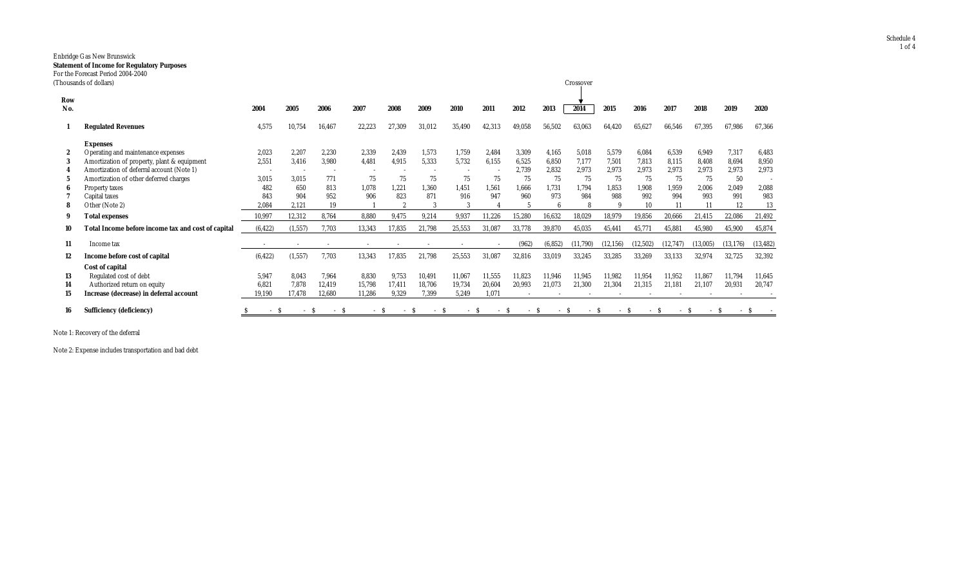## Enbridge Gas New Brunswick **Statement of Income for Regulatory Purposes**

|  |  | For the Forecast Period 2004-2040 |  |
|--|--|-----------------------------------|--|
|  |  | (Thousands of dollars)            |  |

|            | Thousands of dollars)                              |          |          |        |        |                         |        |        |        |        |          | Crossover |           |            |          |          |           |           |
|------------|----------------------------------------------------|----------|----------|--------|--------|-------------------------|--------|--------|--------|--------|----------|-----------|-----------|------------|----------|----------|-----------|-----------|
| Row<br>No. |                                                    | 2004     | 2005     | 2006   | 2007   | 2008                    | 2009   | 2010   | 2011   | 2012   | 2013     | 2014      | 2015      | 2016       | 2017     | 2018     | 2019      | 2020      |
|            | <b>Regulated Revenues</b>                          | 4,575    | 10.754   | 16,467 | 22,223 | 27,309                  | 31,012 | 35,490 | 42,313 | 49,058 | 56,502   | 63,063    | 64,420    | 65,627     | 66,546   | 67,395   | 67,986    | 67,366    |
|            | <b>Expenses</b>                                    |          |          |        |        |                         |        |        |        |        |          |           |           |            |          |          |           |           |
| 2          | Operating and maintenance expenses                 | 2,023    | 2.207    | 2.230  | 2,339  | 2,439                   | 1.573  | 1,759  | 2.484  | 3,309  | 4,165    | 5,018     | 5,579     | 6.084      | 6,539    | 6.949    | 7,317     | 6,483     |
| 3          | Amortization of property, plant & equipment        | 2,551    | 3,416    | 3,980  | 4,481  | 4,915                   | 5,333  | 5,732  | 6,155  | 6,525  | 6,850    | 7,177     | 7,501     | 7,813      | 8,115    | 8,408    | 8,694     | 8,950     |
|            | Amortization of deferral account (Note 1)          |          |          |        |        |                         |        |        |        | 2,739  | 2,832    | 2,973     | 2,973     | 2,973      | 2,973    | 2,973    | 2,973     | 2,973     |
|            | Amortization of other deferred charges             | 3,015    | 3.015    | 771    | 75     | 75                      | 75     | 75     | 75     | 75     | 75       | 75        | 75        | 75         | 75       | 75       | 50        |           |
| 6          | Property taxes                                     | 482      | 650      | 813    | 1,078  | 1,221                   | 1.360  | 1,451  | 1.561  | 1,666  | 1.731    | 1.794     | 1,853     | 1,908      | 1,959    | 2.006    | 2,049     | 2,088     |
|            | Capital taxes                                      | 843      | 904      | 952    | 906    | 823                     | 871    | 916    | 947    | 960    | 973      | 984       | 988       | 992        | 994      | 993      | 991       | 983       |
|            | Other (Note 2)                                     | 2.084    | 2.121    | 19     |        | $\overline{\mathbf{2}}$ |        |        |        |        |          |           |           | 10         | 11       |          | 12        | 13        |
| 9          | <b>Total expenses</b>                              | 10,997   | 12,312   | 8.764  | 8,880  | 9,475                   | 9,214  | 9,937  | 11,226 | 15,280 | 16,632   | 18,029    | 18,979    | 19,856     | 20,666   | 21,415   | 22,086    | 21,492    |
| 10         | Total Income before income tax and cost of capital | (6, 422) | (1, 557) | 7,703  | 13,343 | 17,835                  | 21,798 | 25,553 | 31,087 | 33,778 | 39,870   | 45,035    | 45,441    | 45,771     | 45,881   | 45,980   | 45,900    | 45,874    |
| 11         | Income tax                                         |          |          |        |        |                         |        |        |        | (962)  | (6, 852) | (11,790)  | (12, 156) | (12,502)   | (12,747) | (13,005) | (13, 176) | (13, 482) |
| 12         | Income before cost of capital                      | (6, 422) | (1, 557) | 7,703  | 13,343 | 17,835                  | 21,798 | 25,553 | 31,087 | 32,816 | 33,019   | 33,245    | 33,285    | 33,269     | 33,133   | 32,974   | 32,725    | 32,392    |
|            | <b>Cost of capital</b>                             |          |          |        |        |                         |        |        |        |        |          |           |           |            |          |          |           |           |
| 13         | Regulated cost of debt                             | 5,947    | 8.043    | 7,964  | 8,830  | 9,753                   | 10,491 | 11,067 | 11,555 | 11,823 | 11,946   | 11,945    | 11,982    | 11,954     | 11,952   | 11.867   | 11,794    | 11,645    |
| 14         | Authorized return on equity                        | 6.821    | 7.878    | 12,419 | 15,798 | 17.411                  | 18,706 | 19,734 | 20,604 | 20,993 | 21,073   | 21,300    | 21,304    | 21,315     | 21,181   | 21,107   | 20,931    | 20,747    |
| 15         | Increase (decrease) in deferral account            | 19,190   | 17,478   | 12,680 | 11,286 | 9,329                   | 7,399  | 5,249  | 1.071  |        |          |           |           |            |          |          |           |           |
| 16         | <b>Sufficiency (deficiency)</b>                    | $-S$     | - S      | $-S$   |        | - S<br>$\sim$           | $-S$   |        | $\sim$ | $\sim$ | - S      | $-S$      | $\sim$    | -S<br>$-S$ |          | $-S$     |           |           |

Note 1: Recovery of the deferral

Note 2: Expense includes transportation and bad debt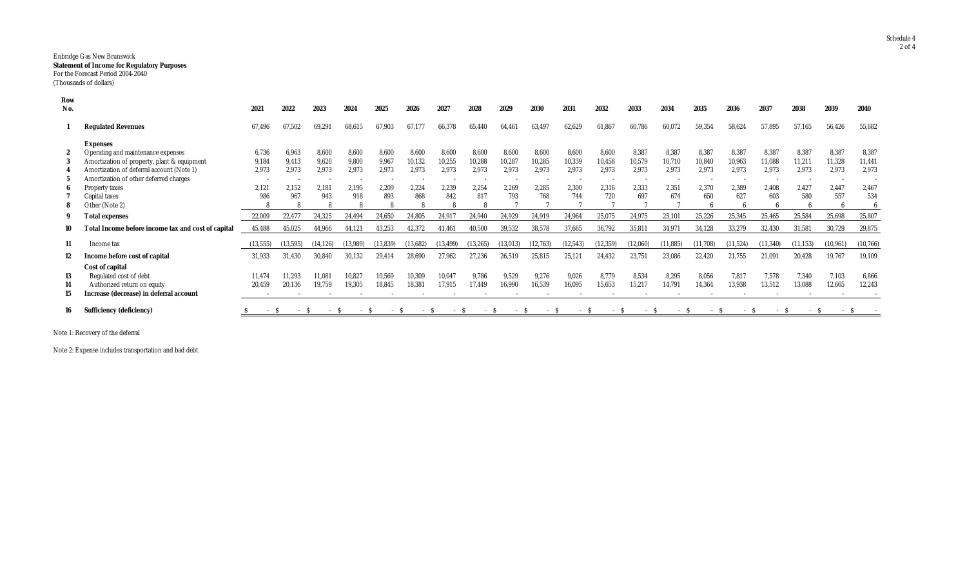## Enbridge Gas New Brunswick **Statement of Income for Regulatory Purposes** For the Forecast Period 2004-2040 (Thousands of dollars)

| Row<br>No. |                                                    | 2021      | 2022      | 2023      | 2024     | 2025      | 2026     | 2027       | 2028   | 2029     | 2030          | 2031      | 2032      | 2033       | 2034      | 2035     | 2036      | 2037      | 2038      | 2039      | 2040     |
|------------|----------------------------------------------------|-----------|-----------|-----------|----------|-----------|----------|------------|--------|----------|---------------|-----------|-----------|------------|-----------|----------|-----------|-----------|-----------|-----------|----------|
|            |                                                    |           |           |           |          |           |          |            |        |          |               |           |           |            |           |          |           |           |           |           |          |
|            | <b>Regulated Revenues</b>                          | 67,496    | 67.502    | 69,291    | 68,615   | 67,903    | 67,177   | 66.378     | 65.440 | 64,461   | 63,497        | 62,629    | 61,867    | 60,786     | 60,072    | 59,354   | 58,624    | 57,895    | 57,165    | 56,426    | 55,682   |
|            | <b>Expenses</b>                                    |           |           |           |          |           |          |            |        |          |               |           |           |            |           |          |           |           |           |           |          |
|            | Operating and maintenance expenses                 | 6,736     | 6.963     | 8,600     | 8.600    | 8,600     | 8,600    | 8.600      | 8,600  | 8.600    | 8,600         | 8,600     | 8,600     | 8,387      | 8,387     | 8,387    | 8,387     | 8,387     | 8,387     | 8,387     | 8,387    |
|            | Amortization of property, plant & equipment        | 9,184     | 9.413     | 9,620     | 9,800    | 9,967     | 10,132   | 10,255     | 10,288 | 10,287   | 10,285        | 10,339    | 10,458    | 10,579     | 10,710    | 10,840   | 10,963    | 11,088    | 11,211    | 11,328    | 11,441   |
|            | Amortization of deferral account (Note 1)          | 2,973     | 2.973     | 2.973     | 2.973    | 2.973     | 2,973    | 2,973      | 2.973  | 2.973    | 2.973         | 2.973     | 2.973     | 2.973      | 2,973     | 2.973    | 2,973     | 2.973     | 2.973     | 2,973     | 2,973    |
|            | Amortization of other deferred charges             | $\sim$    |           | $\sim$    |          |           |          |            |        |          |               |           |           |            |           |          |           |           |           |           |          |
|            | Property taxes                                     | 2.121     | 2.152     | 2.181     | 2.195    | 2.209     | 2,224    | 2,239      | 2,254  | 2.269    | 2,285         | 2.300     | 2,316     | 2.333      | 2,351     | 2.370    | 2,389     | 2.408     | 2.427     | 2.447     | 2,467    |
|            | Capital taxes                                      | 986       | 967       | 943       | 918      | 893       | 868      | 842        | 817    | 793      | 768           | 744       | 720       | 697        | 674       | 650      | 627       | 603       | 580       | 557       | 534      |
|            | Other (Note 2)                                     |           |           | 8         |          |           |          |            |        |          |               |           |           |            |           |          |           |           |           |           |          |
| 9          | <b>Total expenses</b>                              | 22,009    | 22.477    | 24,325    | 24.494   | 24,650    | 24,805   | 24.91      | 24,940 | 24,929   | 24,919        | 24,964    | 25,075    | 24,975     | 25,10     | 25,226   | 25,345    | 25,465    | 25,584    | 25,698    | 25,807   |
|            | Total Income before income tax and cost of capital | 45,488    | 45,025    | 44,966    | 44,121   | 43,253    | 42,372   | 41,461     | 40,500 | 39,532   | 38,578        | 37,665    | 36,792    | 35,811     | 34,971    | 34,128   | 33,279    | 32,430    | 31,581    | 30,729    | 29,875   |
| 11         | Income tax                                         | (13, 555) | (13, 595) | (14, 126) | (13,989) | (13, 839) | (13,682) | (13, 499)  | 13.265 | (13,013) | (12, 763)     | (12, 543) | (12, 359) | (12,060)   | (11, 885) | (11,708) | (11, 524) | (11, 340) | (11, 153) | (10, 961) | (10,766) |
| 12         | Income before cost of capital                      | 31,933    | 31.430    | 30,840    | 30,132   | 29,414    | 28,690   | 27,962     | 27,236 | 26,519   | 25,815        | 25,121    | 24,432    | 23,751     | 23,086    | 22,420   | 21,755    | 21,091    | 20,428    | 19,767    | 19,109   |
|            | Cost of capital                                    |           |           |           |          |           |          |            |        |          |               |           |           |            |           |          |           |           |           |           |          |
| 13         | Regulated cost of debt                             | 11,474    | 11.293    | 11,081    | 10,827   | 10,569    | 10,309   | 10,047     | 9.786  | 9,529    | 9,276         | 9,026     | 8,779     | 8,534      | 8,295     | 8,056    | 7,817     | 7,578     | 7,340     | 7,103     | 6,866    |
| 14         | Authorized return on equity                        | 20,459    | 20.136    | 19,759    | 19,305   | 18,845    | 18,381   | 17.915     | 17.449 | 16,990   | 16,539        | 16,095    | 15,653    | 15,217     | 14,791    | 14,364   | 13,938    | 13,512    | 13,088    | 12,665    | 12,243   |
| 15         | Increase (decrease) in deferral account            | $\sim$    |           |           |          |           |          |            |        |          |               |           |           |            |           |          |           |           |           |           |          |
| 16         | <b>Sufficiency (deficiency)</b>                    | $-S$      | - S       | $\sim$    | - ა      | - S       | $\sim$   | $ \lambda$ | - S    | $\sim$   | $ \mathbf{S}$ | - S       | $- S$     | $ \lambda$ | $ \sim$   | - S      | - 2       | - S       | - S       | – S       |          |

Note 1: Recovery of the deferral

Note 2: Expense includes transportation and bad debt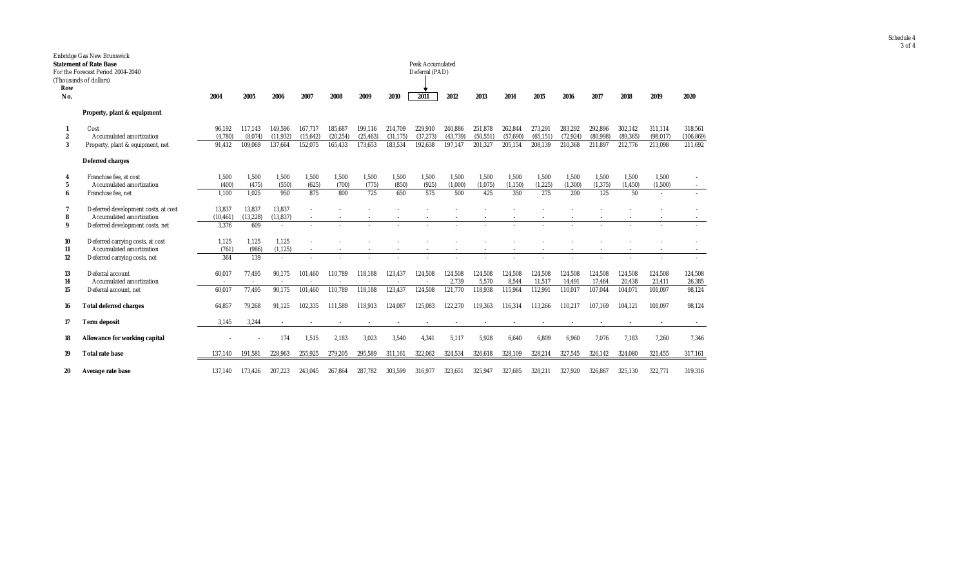|                  | Enbridge Gas New Brunswick                                      |                     |                          |                     |                          |           |           |           |                  |          |           |          |           |           |          |           |           |            |
|------------------|-----------------------------------------------------------------|---------------------|--------------------------|---------------------|--------------------------|-----------|-----------|-----------|------------------|----------|-----------|----------|-----------|-----------|----------|-----------|-----------|------------|
|                  | <b>Statement of Rate Base</b>                                   |                     |                          |                     |                          |           |           |           | Peak Accumulated |          |           |          |           |           |          |           |           |            |
|                  | For the Forecast Period 2004-2040                               |                     |                          |                     |                          |           |           |           | Deferral (PAD)   |          |           |          |           |           |          |           |           |            |
|                  | (Thousands of dollars)                                          |                     |                          |                     |                          |           |           |           |                  |          |           |          |           |           |          |           |           |            |
| Row              |                                                                 |                     |                          |                     |                          |           |           |           |                  |          |           |          |           |           |          |           |           |            |
| No.              |                                                                 | 2004                | 2005                     | 2006                | 2007                     | 2008      | 2009      | 2010      | 2011             | 2012     | 2013      | 2014     | 2015      | 2016      | 2017     | 2018      | 2019      | 2020       |
|                  | Property, plant & equipment                                     |                     |                          |                     |                          |           |           |           |                  |          |           |          |           |           |          |           |           |            |
|                  | Cost                                                            | 96,192              | 117,143                  | 149,596             | 167,717                  | 185,687   | 199,116   | 214,709   | 229,910          | 240,886  | 251,878   | 262,844  | 273,291   | 283,292   | 292,896  | 302,142   | 311,114   | 318,561    |
| $\boldsymbol{2}$ | Accumulated amortization                                        | (4,780)             | (8,074)                  | (11, 932)           | (15, 642)                | (20, 254) | (25, 463) | (31, 175) | (37, 273)        | (43,739) | (50, 551) | (57,690) | (65, 151) | (72, 924) | (80,998) | (89, 365) | (98, 017) | (106, 869) |
| 3                | Property, plant & equipment, net                                | 91.412              | 109,069                  | 137.664             | 152.075                  | 165.433   | 173.653   | 183.534   | 192.638          | 197.147  | 201.327   | 205.154  | 208.139   | 210.368   | 211.897  | 212.776   | 213.098   | 211.692    |
|                  | <b>Deferred charges</b>                                         |                     |                          |                     |                          |           |           |           |                  |          |           |          |           |           |          |           |           |            |
| 4                | Franchise fee, at cost                                          | 1,500               | 1.500                    | 1,500               | 1.500                    | 1.500     | 1,500     | 1,500     | 1.500            | 1.500    | 1.500     | 1,500    | 1,500     | 1.500     | 1.500    | 1,500     | 1,500     |            |
| 5                | Accumulated amortization                                        | (400)               | (475)                    | (550)               | (625)                    | (700)     | (775)     | (850)     | (925)            | (1,000)  | (1,075)   | (1, 150) | (1,225)   | (1,300)   | (1, 375) | (1, 450)  | (1,500)   |            |
| 6                | Franchise fee, net                                              | 1.100               | 1.025                    | 950                 | 875                      | 800       | 725       | 650       | 575              | 500      | 425       | 350      | 275       | 200       | 125      | 50        | $\sim$    |            |
|                  |                                                                 |                     |                          |                     |                          |           |           |           |                  |          |           |          |           |           |          |           |           |            |
| 7                | Deferred development costs, at cost<br>Accumulated amortization | 13,837<br>(10, 461) | 13,837<br>(13, 228)      | 13,837<br>(13, 837) |                          |           |           |           |                  |          |           |          |           |           |          |           |           |            |
| 8<br>9           |                                                                 | 3,376               | 609                      | $\overline{a}$      |                          |           |           |           |                  |          |           |          |           |           |          |           |           |            |
|                  | Deferred development costs, net                                 |                     |                          |                     |                          |           |           |           |                  |          |           |          |           |           |          |           |           |            |
| 10               | Deferred carrying costs, at cost                                | 1,125               | 1.125                    | 1,125               |                          |           |           |           |                  |          |           |          |           |           |          |           |           |            |
| 11               | Accumulated amortization                                        | (761)               | (986)                    | (1, 125)            | $\sim$                   |           |           |           |                  |          |           |          |           |           |          |           |           |            |
| 12               | Deferred carrying costs, net                                    | 364                 | 139                      | $\overline{a}$      |                          |           |           |           |                  |          |           |          |           |           |          |           |           |            |
| 13               | Deferral account                                                | 60,017              | 77,495                   | 90,175              | 101,460                  | 110,789   | 118,188   | 123,437   | 124,508          | 124,508  | 124,508   | 124,508  | 124,508   | 124,508   | 124,508  | 124,508   | 124,508   | 124,508    |
| 14               | Accumulated amortization                                        | $\sim$              | $\overline{\phantom{a}}$ |                     | $\overline{\phantom{a}}$ |           |           | $\sim$    | $\overline{a}$   | 2,739    | 5,570     | 8,544    | 11,517    | 14,491    | 17,464   | 20,438    | 23,411    | 26,385     |
| 15               | Deferral account, net                                           | 60,017              | 77,495                   | 90,175              | 101,460                  | 110,789   | 118,188   | 123,437   | 124,508          | 121,770  | 118,938   | 115,964  | 112,991   | 110.017   | 107,044  | 104,071   | 101,097   | 98,124     |
|                  |                                                                 |                     |                          |                     |                          |           |           |           |                  |          |           |          |           |           |          |           |           |            |
| 16               | <b>Total deferred charges</b>                                   | 64,857              | 79,268                   | 91,125              | 102,335                  | 111,589   | 118,913   | 124,087   | 125,083          | 122,270  | 119,363   | 116.314  | 113.266   | 110.217   | 107.169  | 104.121   | 101.097   | 98,124     |
| 17               | <b>Term deposit</b>                                             | 3,145               | 3,244                    |                     |                          |           |           |           |                  |          |           |          |           |           |          |           |           |            |
| 18               | <b>Allowance for working capital</b>                            |                     |                          | 174                 | 1,515                    | 2,183     | 3,023     | 3,540     | 4,341            | 5,117    | 5,928     | 6,640    | 6,809     | 6,960     | 7,076    | 7,183     | 7,260     | 7,346      |
| 19               | <b>Total rate base</b>                                          | 137,140             | 191,581                  | 228,963             | 255,925                  | 279,205   | 295,589   | 311,161   | 322,062          | 324,534  | 326,618   | 328,109  | 328,214   | 327,545   | 326,142  | 324,080   | 321,455   | 317,161    |
|                  |                                                                 |                     |                          |                     |                          |           |           |           |                  |          |           |          |           |           |          |           |           |            |
| 20               | Average rate base                                               | 137.140             | 173,426                  | 207,223             | 243,045                  | 267.864   | 287,782   | 303,599   | 316,977          | 323,651  | 325,947   | 327.685  | 328,211   | 327,920   | 326,867  | 325,130   | 322,771   | 319,316    |